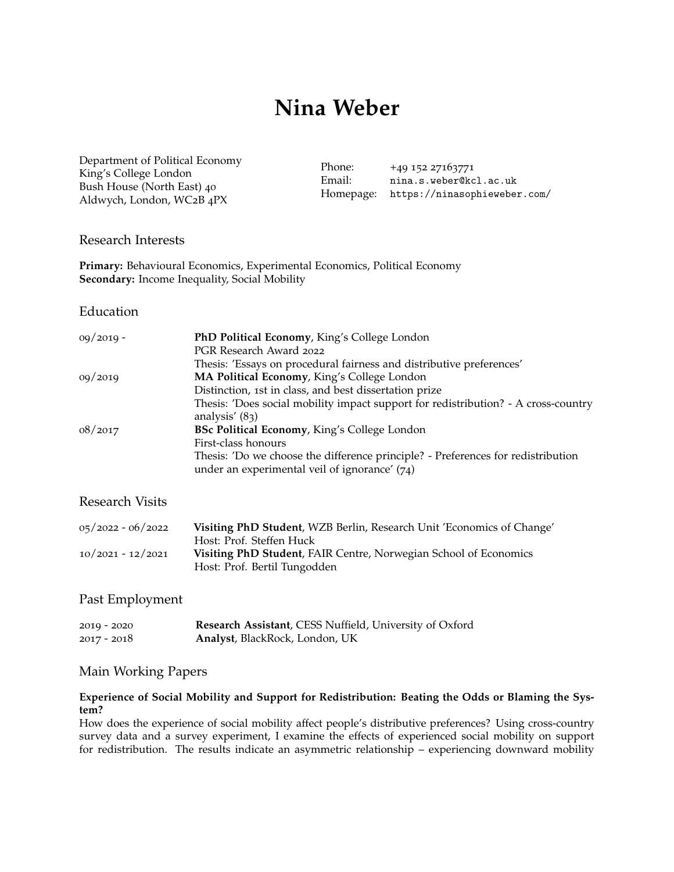# **Nina Weber**

[Department of Political Economy](https://www.kcl.ac.uk/political-economy) King's College London Bush House (North East) 40 Aldwych, London, WC2B 4PX

Phone: +49 152 27163771 Email: [nina.s.weber@kcl.ac.uk](mailto:nina.s.weber@kcl.ac.uk) Homepage: <https://ninasophieweber.com/>

#### Research Interests

**Primary:** Behavioural Economics, Experimental Economics, Political Economy **Secondary:** Income Inequality, Social Mobility

#### Education

| $09/2019 -$            | PhD Political Economy, King's College London<br>PGR Research Award 2022                                                             |
|------------------------|-------------------------------------------------------------------------------------------------------------------------------------|
|                        | Thesis: 'Essays on procedural fairness and distributive preferences'                                                                |
| 09/2019                | MA Political Economy, King's College London                                                                                         |
|                        | Distinction, 1st in class, and best dissertation prize                                                                              |
|                        | Thesis: 'Does social mobility impact support for redistribution? - A cross-country<br>analysis' $(83)$                              |
| 08/2017                | BSc Political Economy, King's College London                                                                                        |
|                        | First-class honours                                                                                                                 |
|                        | Thesis: 'Do we choose the difference principle? - Preferences for redistribution<br>under an experimental veil of ignorance' $(74)$ |
| <b>Research Visits</b> |                                                                                                                                     |
|                        |                                                                                                                                     |

| $05/2022 - 06/2022$ | Visiting PhD Student, WZB Berlin, Research Unit 'Economics of Change' |
|---------------------|-----------------------------------------------------------------------|
|                     | Host: Prof. Steffen Huck                                              |
| $10/2021 - 12/2021$ | Visiting PhD Student, FAIR Centre, Norwegian School of Economics      |
|                     | Host: Prof. Bertil Tungodden                                          |

## Past Employment

| 2019 - 2020 | Research Assistant, CESS Nuffield, University of Oxford |  |  |
|-------------|---------------------------------------------------------|--|--|
| 2017 - 2018 | Analyst, BlackRock, London, UK                          |  |  |

## Main Working Papers

## **Experience of Social Mobility and Support for Redistribution: Beating the Odds or Blaming the System?**

How does the experience of social mobility affect people's distributive preferences? Using cross-country survey data and a survey experiment, I examine the effects of experienced social mobility on support for redistribution. The results indicate an asymmetric relationship – experiencing downward mobility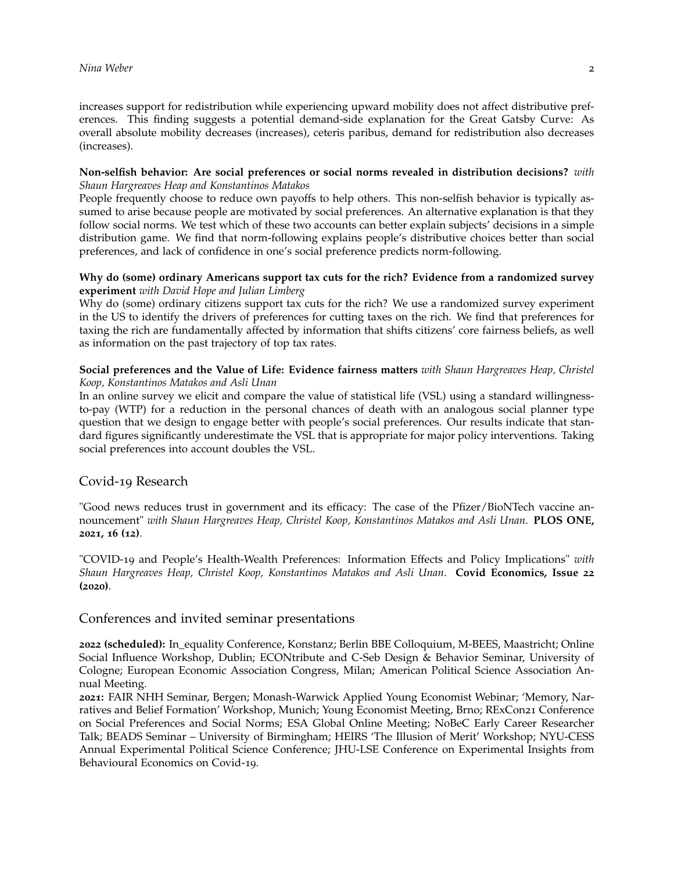increases support for redistribution while experiencing upward mobility does not affect distributive preferences. This finding suggests a potential demand-side explanation for the Great Gatsby Curve: As overall absolute mobility decreases (increases), ceteris paribus, demand for redistribution also decreases (increases).

#### **Non-selfish behavior: Are social preferences or social norms revealed in distribution decisions?** *with Shaun Hargreaves Heap and Konstantinos Matakos*

People frequently choose to reduce own payoffs to help others. This non-selfish behavior is typically assumed to arise because people are motivated by social preferences. An alternative explanation is that they follow social norms. We test which of these two accounts can better explain subjects' decisions in a simple distribution game. We find that norm-following explains people's distributive choices better than social preferences, and lack of confidence in one's social preference predicts norm-following.

#### **Why do (some) ordinary Americans support tax cuts for the rich? Evidence from a randomized survey experiment** *with David Hope and Julian Limberg*

Why do (some) ordinary citizens support tax cuts for the rich? We use a randomized survey experiment in the US to identify the drivers of preferences for cutting taxes on the rich. We find that preferences for taxing the rich are fundamentally affected by information that shifts citizens' core fairness beliefs, as well as information on the past trajectory of top tax rates.

## **Social preferences and the Value of Life: Evidence fairness matters** *with Shaun Hargreaves Heap, Christel Koop, Konstantinos Matakos and Asli Unan*

In an online survey we elicit and compare the value of statistical life (VSL) using a standard willingnessto-pay (WTP) for a reduction in the personal chances of death with an analogous social planner type question that we design to engage better with people's social preferences. Our results indicate that standard figures significantly underestimate the VSL that is appropriate for major policy interventions. Taking social preferences into account doubles the VSL.

# Covid-19 Research

"Good news reduces trust in government and its efficacy: The case of the Pfizer/BioNTech vaccine announcement" *with Shaun Hargreaves Heap, Christel Koop, Konstantinos Matakos and Asli Unan*. **PLOS ONE, 2021, 16 (12)**.

"COVID-19 and People's Health-Wealth Preferences: Information Effects and Policy Implications" *with Shaun Hargreaves Heap, Christel Koop, Konstantinos Matakos and Asli Unan*. **Covid Economics, Issue 22 (2020)**.

## Conferences and invited seminar presentations

**2022 (scheduled):** In\_equality Conference, Konstanz; Berlin BBE Colloquium, M-BEES, Maastricht; Online Social Influence Workshop, Dublin; ECONtribute and C-Seb Design & Behavior Seminar, University of Cologne; European Economic Association Congress, Milan; American Political Science Association Annual Meeting.

**2021:** FAIR NHH Seminar, Bergen; Monash-Warwick Applied Young Economist Webinar; 'Memory, Narratives and Belief Formation' Workshop, Munich; Young Economist Meeting, Brno; RExCon21 Conference on Social Preferences and Social Norms; ESA Global Online Meeting; NoBeC Early Career Researcher Talk; BEADS Seminar – University of Birmingham; HEIRS 'The Illusion of Merit' Workshop; NYU-CESS Annual Experimental Political Science Conference; JHU-LSE Conference on Experimental Insights from Behavioural Economics on Covid-19.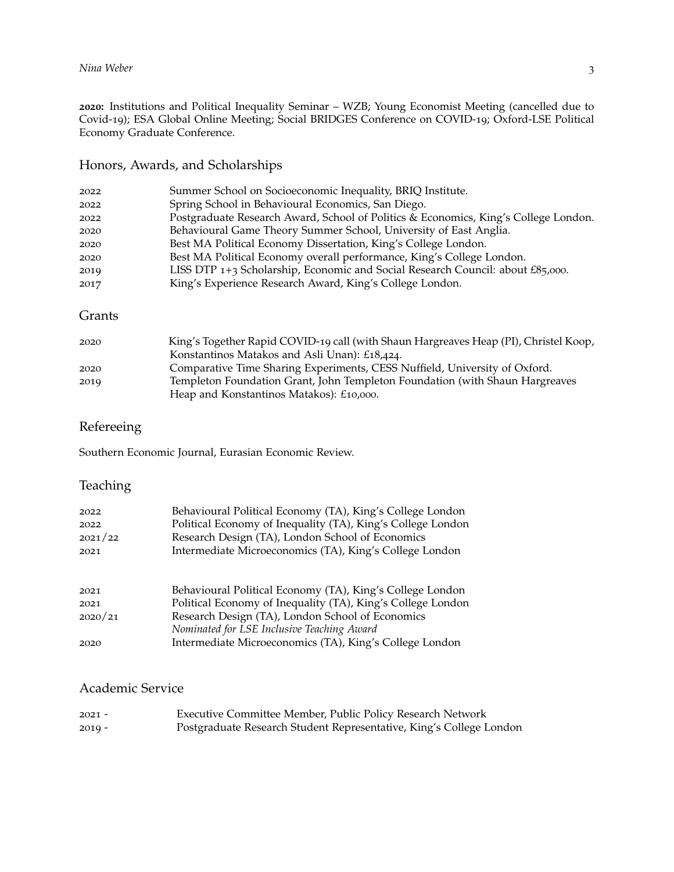**:** Institutions and Political Inequality Seminar – WZB; Young Economist Meeting (cancelled due to Covid-19); ESA Global Online Meeting; Social BRIDGES Conference on COVID-19; Oxford-LSE Political Economy Graduate Conference.

# Honors, Awards, and Scholarships

| 2022 | Summer School on Socioeconomic Inequality, BRIQ Institute.                          |
|------|-------------------------------------------------------------------------------------|
| 2022 | Spring School in Behavioural Economics, San Diego.                                  |
| 2022 | Postgraduate Research Award, School of Politics & Economics, King's College London. |
| 2020 | Behavioural Game Theory Summer School, University of East Anglia.                   |
| 2020 | Best MA Political Economy Dissertation, King's College London.                      |
| 2020 | Best MA Political Economy overall performance, King's College London.               |
| 2019 | LISS DTP 1+3 Scholarship, Economic and Social Research Council: about £85,000.      |
| 2017 | King's Experience Research Award, King's College London.                            |
|      |                                                                                     |

# Grants

| 2020 | King's Together Rapid COVID-19 call (with Shaun Hargreaves Heap (PI), Christel Koop, |
|------|--------------------------------------------------------------------------------------|
|      | Konstantinos Matakos and Asli Unan): £18,424.                                        |
| 2020 | Comparative Time Sharing Experiments, CESS Nuffield, University of Oxford.           |
| 2019 | Templeton Foundation Grant, John Templeton Foundation (with Shaun Hargreaves         |
|      | Heap and Konstantinos Matakos): £10,000.                                             |

# Refereeing

Southern Economic Journal, Eurasian Economic Review.

# Teaching

| 2022    | Behavioural Political Economy (TA), King's College London                                             |
|---------|-------------------------------------------------------------------------------------------------------|
| 2022    | Political Economy of Inequality (TA), King's College London                                           |
| 2021/22 | Research Design (TA), London School of Economics                                                      |
| 2021    | Intermediate Microeconomics (TA), King's College London                                               |
| 2021    | Behavioural Political Economy (TA), King's College London                                             |
| 2021    | Political Economy of Inequality (TA), King's College London                                           |
| 2020/21 | Research Design (TA), London School of Economics                                                      |
| 2020    | Nominated for LSE Inclusive Teaching Award<br>Intermediate Microeconomics (TA), King's College London |

# Academic Service

| $2021 -$ | Executive Committee Member, Public Policy Research Network          |
|----------|---------------------------------------------------------------------|
| $2019 -$ | Postgraduate Research Student Representative, King's College London |